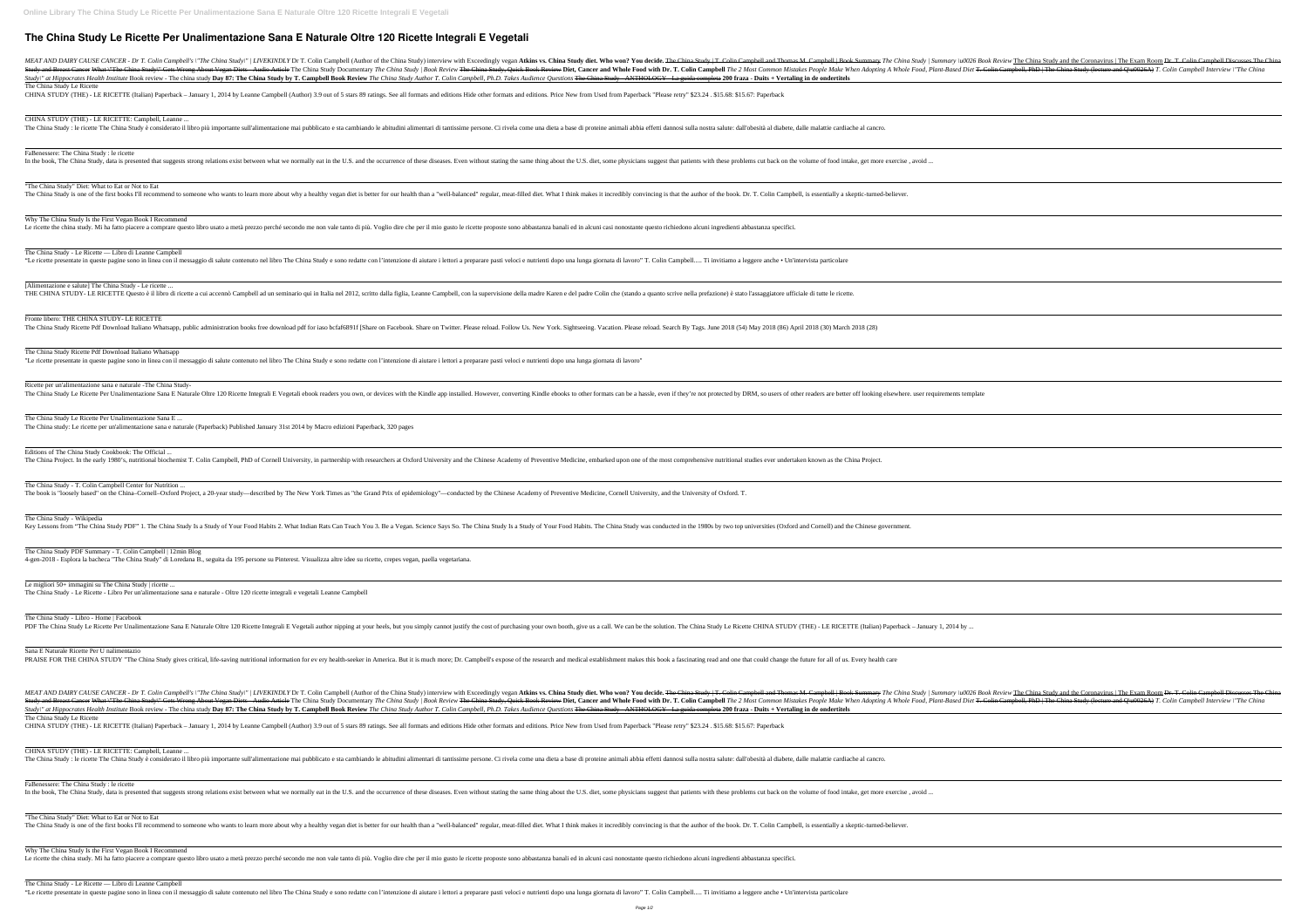# **The China Study Le Ricette Per Unalimentazione Sana E Naturale Oltre 120 Ricette Integrali E Vegetali**

Study\" at Hippocrates Health Institute Book review - The china study Day 87: The China Study by T. Campbell Book Review The China Study Author T. Colin Campbell, Ph.D. Takes Audience Ouestions The China Study - ANTHOLOGY The China Study Le Ricette

CHINA STUDY (THE) - LE RICETTE (Italian) Paperback - January 1, 2014 by Leanne Campbell (Author) 3.9 out of 5 stars 89 ratings. See all formats and editions Hide other formats and editions. Price New from Used from Paperba

CHINA STUDY (THE) - LE RICETTE: Campbell, Leanne ... The China Study: le ricette The China Study è considerato il libro più importante sull'alimentazione mai pubblicato e sta cambiando le abitudini alimentari di tantissime persone. Ci rivela come una dieta a base di proteine

[Alimentazione e salute] The China Study - Le ricette ... THE CHINA STUDY- LE RICETTE Questo è il libro di ricette a cui accennò Campbell ad un seminario qui in Italia nel 2012, scritto dalla figlia, Leanne Campbell, con la supervisione della madre Karen e del padre Colin che (st

FaBenessere: The China Study : le ricette

"The China Study" Diet: What to Eat or Not to Eat

The China Study is one of the first books I'll recommend to someone who wants to learn more about why a healthy vegan diet is better for our health than a "well-balanced" regular, meat-filled diet. What I think makes it in

Why The China Study Is the First Vegan Book I Recommend

Le ricette the china study. Mi ha fatto piacere a comprare questo libro usato a metà prezzo perché secondo me non vale tanto di più. Voglio dire che per il mio gusto le ricette proposte sono abbastanza banali ed in alcuni

The China Study - Le Ricette — Libro di Leanne Campbell

"Le ricette presentate in queste pagine sono in linea con il messaggio di salute contenuto nel libro The China Study e sono redatte con l'intenzione di aiutare i lettori a preparare pasti veloci e nutrienti dopo una lunga

Sana E Naturale Ricette Per U nalimentazio PRAISE FOR THE CHINA STUDY "The China Study gives critical, life-saving nutritional information for ev ery health-seeker in America. But it is much more; Dr. Campbell's expose of the research and medical establishment make

Fronte libero: THE CHINA STUDY- LE RICETTE

The China Study Ricette Pdf Download Italiano Whatsapp, public administration books free download pdf for iaso bcfaf6891f [Share on Facebook. Share on Twitter. Please reload. Follow Us. New York. Sightseeing. Vacation. Ple

Study\" at Hippocrates Health Institute Book review - The china study Day 87: The China Study by T. Campbell Book Review The China Study Author T. Colin Campbell, Ph.D. Takes Audience Ouestions The China Study - ANTHOLOGY The China Study Le Ricette

CHINA STUDY (THE) - LE RICETTE (Italian) Paperback - January 1, 2014 by Leanne Campbell (Author) 3.9 out of 5 stars 89 ratings. See all formats and editions Hide other formats and editions. Price New from Used from Paperba

The China Study Ricette Pdf Download Italiano Whatsapp

"Le ricette presentate in queste pagine sono in linea con il messaggio di salute contenuto nel libro The China Study e sono redatte con l'intenzione di aiutare i lettori a preparare pasti veloci e nutrienti dopo una lunga

Ricette per un'alimentazione sana e naturale -The China Study-



Why The China Study Is the First Vegan Book I Recommend Le ricette the china study. Mi ha fatto piacere a comprare questo libro usato a metà prezzo perché secondo me non vale tanto di più. Voglio dire che per il mio gusto le ricette proposte sono abbastanza banali ed in alcuni

The China Study Le Ricette Per Unalimentazione Sana E ... The China study: Le ricette per un'alimentazione sana e naturale (Paperback) Published January 31st 2014 by Macro edizioni Paperback, 320 pages

Editions of The China Study Cookbook: The Official ...

The China Project. In the early 1980's, nutritional biochemist T. Colin Campbell, PhD of Cornell University, in partnership with researchers at Oxford University and the Chinese Academy of Preventive Medicine, embarked upo

The China Study - T. Colin Campbell Center for Nutrition ...

The book is "loosely based" on the China–Cornell–Oxford Project, a 20-year study—described by The New York Times as "the Grand Prix of epidemiology"—conducted by the Chinese Academy of Preventive Medicine, Cornell Universi

The China Study - Wikipedia

Key Lessons from "The China Study PDF" 1. The China Study Is a Study of Your Food Habits 2. What Indian Rats Can Teach You 3. Be a Vegan. Science Says So. The China Study of Your Food Habits. The China Study was conducted

The China Study PDF Summary - T. Colin Campbell | 12min Blog 4-gen-2018 - Esplora la bacheca "The China Study" di Loredana B., seguita da 195 persone su Pinterest. Visualizza altre idee su ricette, crepes vegan, paella vegetariana.

Le migliori 50+ immagini su The China Study | ricette ...

The China Study - Le Ricette - Libro Per un'alimentazione sana e naturale - Oltre 120 ricette integrali e vegetali Leanne Campbell

The China Study - Libro - Home | Facebook

CHINA STUDY (THE) - LE RICETTE: Campbell, Leanne ...

The China Study: le ricette The China Study è considerato il libro più importante sull'alimentazione mai pubblicato e sta cambiando le abitudini alimentari di tantissime persone. Ci rivela come una dieta a base di proteine

FaBenessere: The China Study : le ricette

"The China Study" Diet: What to Eat or Not to Eat

The China Study is one of the first books I'll recommend to someone who wants to learn more about why a healthy vegan diet is better for our health than a "well-balanced" regular, meat-filled diet. What I think makes it in

The China Study - Le Ricette — Libro di Leanne Campbell

"Le ricette presentate in queste pagine sono in linea con il messaggio di salute contenuto nel libro The China Study e sono redatte con l'intenzione di aiutare i lettori a preparare pasti veloci e nutrienti dopo una lunga

| ok Review The China Study and the Coronavirus   The Exam Room <del>Dr. T. Colin Campbell Discusses The China</del><br><i><b>Colin Campbell, PhD</b></i>   The China Study (lecture and Q\u0026A) T. Colin Campbell Interview \"The China' |                                                                                                                                                                                                                                     |  |  |  |
|-------------------------------------------------------------------------------------------------------------------------------------------------------------------------------------------------------------------------------------------|-------------------------------------------------------------------------------------------------------------------------------------------------------------------------------------------------------------------------------------|--|--|--|
|                                                                                                                                                                                                                                           |                                                                                                                                                                                                                                     |  |  |  |
|                                                                                                                                                                                                                                           |                                                                                                                                                                                                                                     |  |  |  |
|                                                                                                                                                                                                                                           |                                                                                                                                                                                                                                     |  |  |  |
|                                                                                                                                                                                                                                           |                                                                                                                                                                                                                                     |  |  |  |
|                                                                                                                                                                                                                                           |                                                                                                                                                                                                                                     |  |  |  |
|                                                                                                                                                                                                                                           |                                                                                                                                                                                                                                     |  |  |  |
|                                                                                                                                                                                                                                           |                                                                                                                                                                                                                                     |  |  |  |
|                                                                                                                                                                                                                                           |                                                                                                                                                                                                                                     |  |  |  |
|                                                                                                                                                                                                                                           |                                                                                                                                                                                                                                     |  |  |  |
|                                                                                                                                                                                                                                           |                                                                                                                                                                                                                                     |  |  |  |
|                                                                                                                                                                                                                                           |                                                                                                                                                                                                                                     |  |  |  |
|                                                                                                                                                                                                                                           |                                                                                                                                                                                                                                     |  |  |  |
|                                                                                                                                                                                                                                           |                                                                                                                                                                                                                                     |  |  |  |
|                                                                                                                                                                                                                                           |                                                                                                                                                                                                                                     |  |  |  |
|                                                                                                                                                                                                                                           |                                                                                                                                                                                                                                     |  |  |  |
|                                                                                                                                                                                                                                           |                                                                                                                                                                                                                                     |  |  |  |
|                                                                                                                                                                                                                                           |                                                                                                                                                                                                                                     |  |  |  |
|                                                                                                                                                                                                                                           |                                                                                                                                                                                                                                     |  |  |  |
|                                                                                                                                                                                                                                           |                                                                                                                                                                                                                                     |  |  |  |
|                                                                                                                                                                                                                                           |                                                                                                                                                                                                                                     |  |  |  |
|                                                                                                                                                                                                                                           |                                                                                                                                                                                                                                     |  |  |  |
|                                                                                                                                                                                                                                           |                                                                                                                                                                                                                                     |  |  |  |
|                                                                                                                                                                                                                                           |                                                                                                                                                                                                                                     |  |  |  |
|                                                                                                                                                                                                                                           |                                                                                                                                                                                                                                     |  |  |  |
|                                                                                                                                                                                                                                           |                                                                                                                                                                                                                                     |  |  |  |
|                                                                                                                                                                                                                                           |                                                                                                                                                                                                                                     |  |  |  |
|                                                                                                                                                                                                                                           |                                                                                                                                                                                                                                     |  |  |  |
|                                                                                                                                                                                                                                           |                                                                                                                                                                                                                                     |  |  |  |
|                                                                                                                                                                                                                                           |                                                                                                                                                                                                                                     |  |  |  |
|                                                                                                                                                                                                                                           |                                                                                                                                                                                                                                     |  |  |  |
|                                                                                                                                                                                                                                           |                                                                                                                                                                                                                                     |  |  |  |
|                                                                                                                                                                                                                                           |                                                                                                                                                                                                                                     |  |  |  |
|                                                                                                                                                                                                                                           | ok Review The China Study and the Coronavirus   The Exam Room <del>Dr. T. Colin Campbell Discusses The China</del><br><i>Colin Campbell, PhD   The China Study (lecture and Q\u0026A) T. Colin Campbell Interview \"The China</i> " |  |  |  |
|                                                                                                                                                                                                                                           |                                                                                                                                                                                                                                     |  |  |  |
|                                                                                                                                                                                                                                           |                                                                                                                                                                                                                                     |  |  |  |
|                                                                                                                                                                                                                                           |                                                                                                                                                                                                                                     |  |  |  |
|                                                                                                                                                                                                                                           |                                                                                                                                                                                                                                     |  |  |  |
|                                                                                                                                                                                                                                           |                                                                                                                                                                                                                                     |  |  |  |
|                                                                                                                                                                                                                                           |                                                                                                                                                                                                                                     |  |  |  |
|                                                                                                                                                                                                                                           |                                                                                                                                                                                                                                     |  |  |  |
|                                                                                                                                                                                                                                           |                                                                                                                                                                                                                                     |  |  |  |
|                                                                                                                                                                                                                                           |                                                                                                                                                                                                                                     |  |  |  |